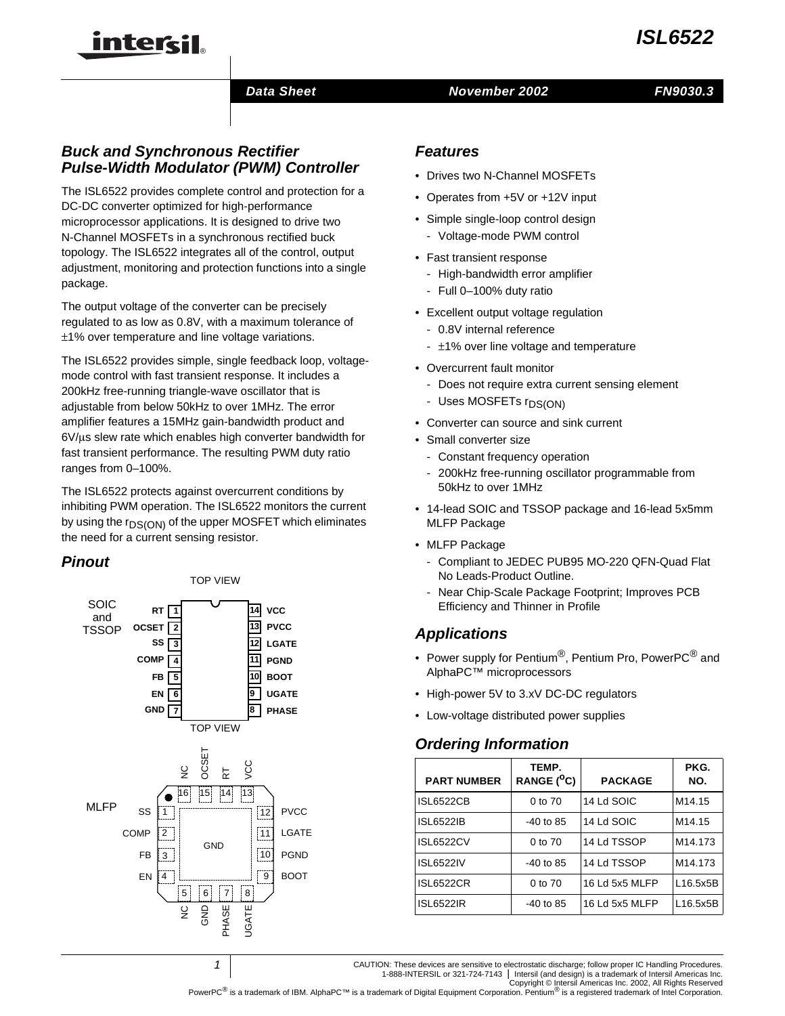#### *Data Sheet November 2002*

## *Buck and Synchronous Rectifier Pulse-Width Modulator (PWM) Controller*

inter<del>ci</del>l.

The ISL6522 provides complete control and protection for a DC-DC converter optimized for high-performance microprocessor applications. It is designed to drive two N-Channel MOSFETs in a synchronous rectified buck topology. The ISL6522 integrates all of the control, output adjustment, monitoring and protection functions into a single package.

The output voltage of the converter can be precisely regulated to as low as 0.8V, with a maximum tolerance of ±1% over temperature and line voltage variations.

The ISL6522 provides simple, single feedback loop, voltagemode control with fast transient response. It includes a 200kHz free-running triangle-wave oscillator that is adjustable from below 50kHz to over 1MHz. The error amplifier features a 15MHz gain-bandwidth product and  $6V/\mu s$  slew rate which enables high converter bandwidth for fast transient performance. The resulting PWM duty ratio ranges from 0–100%.

The ISL6522 protects against overcurrent conditions by inhibiting PWM operation. The ISL6522 monitors the current by using the r<sub>DS(ON)</sub> of the upper MOSFET which eliminates the need for a current sensing resistor.

### *Pinout*



*1*

#### *Features*

- Drives two N-Channel MOSFETs
- Operates from +5V or +12V input
- Simple single-loop control design - Voltage-mode PWM control
- Fast transient response
	- High-bandwidth error amplifier
	- Full 0–100% duty ratio
- Excellent output voltage regulation
	- 0.8V internal reference
	- ±1% over line voltage and temperature
- Overcurrent fault monitor
	- Does not require extra current sensing element
	- Uses MOSFETs r<sub>DS(ON)</sub>
- Converter can source and sink current
- Small converter size
	- Constant frequency operation
	- 200kHz free-running oscillator programmable from 50kHz to over 1MHz
- 14-lead SOIC and TSSOP package and 16-lead 5x5mm MLFP Package
- MLFP Package
	- Compliant to JEDEC PUB95 MO-220 QFN-Quad Flat No Leads-Product Outline.
	- Near Chip-Scale Package Footprint; Improves PCB Efficiency and Thinner in Profile

### *Applications*

- Power supply for Pentium<sup>®</sup>, Pentium Pro, PowerPC<sup>®</sup> and AlphaPC™ microprocessors
- High-power 5V to 3.xV DC-DC regulators
- Low-voltage distributed power supplies **<sup>8</sup>**

# *Ordering Information*

| <b>PART NUMBER</b> | TEMP.<br>RANGE ( <sup>O</sup> C) | <b>PACKAGE</b> | PKG.<br>NO.         |
|--------------------|----------------------------------|----------------|---------------------|
| <b>ISL6522CB</b>   | $0$ to $70$                      | 14 Ld SOIC     | M <sub>14.15</sub>  |
| <b>ISL6522IB</b>   | $-40$ to 85                      | 14 Ld SOIC     | M <sub>14.15</sub>  |
| <b>ISL6522CV</b>   | 0 to 70                          | 14 Ld TSSOP    | M <sub>14.173</sub> |
| <b>ISL6522IV</b>   | $-40$ to 85                      | 14 Ld TSSOP    | M14.173             |
| <b>ISL6522CR</b>   | $0$ to $70$                      | 16 Ld 5x5 MLFP | L16.5x5B            |
| <b>ISL6522IR</b>   | -40 to 85                        | 16 Ld 5x5 MLFP | L16.5x5B            |

CAUTION: These devices are sensitive to electrostatic discharge; follow proper IC Handling Procedures. 1-888-INTERSIL or 321-724-7143 | Intersil (and design) is a trademark of Intersil Americas Inc.

Copyright © Intersil Americas Inc. 2002, All Rights Reserved<br>PowerPC<sup>®</sup> is a trademark of IBM. AlphaPC™ is a trademark of Digital Equipment Corporation. Pentium<sup>®</sup> is a registered trademark of Intel Corporation.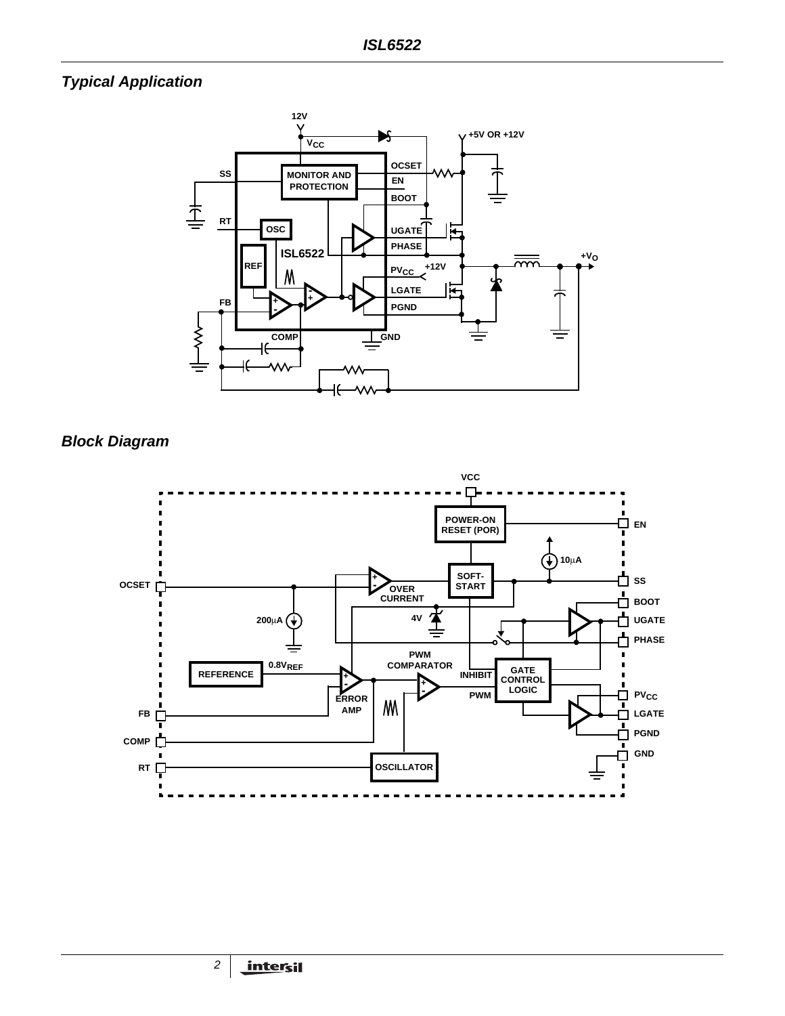# *Typical Application*



*Block Diagram*

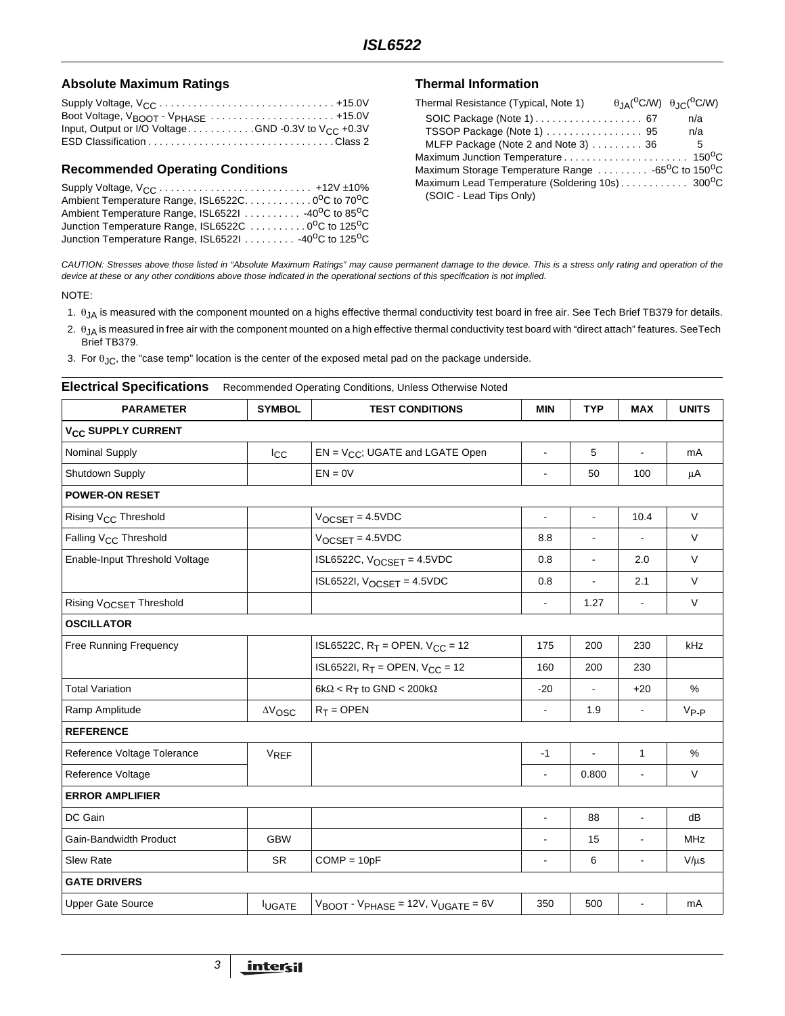#### Absolute Maximum Ratings **Thermal Information**

| Input, Output or I/O VoltageGND -0.3V to $V_{CC}$ +0.3V |  |
|---------------------------------------------------------|--|
|                                                         |  |

#### **Recommended Operating Conditions**

| Ambient Temperature Range, ISL6522C. 0°C to 70°C                             |  |
|------------------------------------------------------------------------------|--|
| Ambient Temperature Range, ISL6522I 40 <sup>o</sup> C to 85 <sup>o</sup> C   |  |
| Junction Temperature Range, ISL6522C 0°C to 125°C                            |  |
| Junction Temperature Range, ISL6522I 40 <sup>o</sup> C to 125 <sup>o</sup> C |  |

| Thermal Resistance (Typical, Note 1)                                      | $\theta_{JA}(^{\circ}C/W)$ $\theta_{JC}(^{\circ}C/W)$ |
|---------------------------------------------------------------------------|-------------------------------------------------------|
|                                                                           | n/a                                                   |
| TSSOP Package (Note 1)  95                                                | n/a                                                   |
| MLFP Package (Note 2 and Note 3) 36                                       | 5                                                     |
|                                                                           |                                                       |
| Maximum Storage Temperature Range 65 <sup>o</sup> C to 150 <sup>o</sup> C |                                                       |
|                                                                           |                                                       |
| (SOIC - Lead Tips Only)                                                   |                                                       |

*CAUTION: Stresses above those listed in "Absolute Maximum Ratings" may cause permanent damage to the device. This is a stress only rating and operation of the device at these or any other conditions above those indicated in the operational sections of this specification is not implied.*

#### NOTE:

- 1. θJA is measured with the component mounted on a highs effective thermal conductivity test board in free air. See Tech Brief TB379 for details.
- 2.  $\theta_{JA}$  is measured in free air with the component mounted on a high effective thermal conductivity test board with "direct attach" features. SeeTech Brief TB379.
- 3. For  $\theta_{\text{JC}}$ , the "case temp" location is the center of the exposed metal pad on the package underside.

# **Electrical Specifications** Recommended Operating Conditions, Unless Otherwise Noted

| <b>PARAMETER</b>                  | <b>SYMBOL</b>          | <b>TEST CONDITIONS</b>                                                | <b>MIN</b>               | <b>TYP</b>               | <b>MAX</b>               | <b>UNITS</b> |  |  |
|-----------------------------------|------------------------|-----------------------------------------------------------------------|--------------------------|--------------------------|--------------------------|--------------|--|--|
| V <sub>CC</sub> SUPPLY CURRENT    |                        |                                                                       |                          |                          |                          |              |  |  |
| Nominal Supply                    | $_{\rm{lcc}}$          | $EN = V_{CC}$ ; UGATE and LGATE Open                                  | $\overline{a}$           | 5                        | $\overline{a}$           | mA           |  |  |
| Shutdown Supply                   |                        | $EN = 0V$                                                             | $\blacksquare$           | 50                       | 100                      | μA           |  |  |
| <b>POWER-ON RESET</b>             |                        |                                                                       |                          |                          |                          |              |  |  |
| Rising V <sub>CC</sub> Threshold  |                        | $V_{OCSET} = 4.5 VDC$                                                 |                          | ÷,                       | 10.4                     | $\vee$       |  |  |
| Falling V <sub>CC</sub> Threshold |                        | $V_{OCSET} = 4.5 VDC$                                                 | 8.8                      | $\overline{\phantom{a}}$ | $\overline{\phantom{a}}$ | $\vee$       |  |  |
| Enable-Input Threshold Voltage    |                        | ISL6522C, $V_{OCSET}$ = 4.5VDC                                        | 0.8                      | ä,                       | 2.0                      | $\vee$       |  |  |
|                                   |                        | ISL6522I, $V_{OCSET} = 4.5 VDC$                                       | 0.8                      | $\frac{1}{2}$            | 2.1                      | $\vee$       |  |  |
| Rising VOCSET Threshold           |                        |                                                                       | $\overline{a}$           | 1.27                     | $\blacksquare$           | $\vee$       |  |  |
| <b>OSCILLATOR</b>                 |                        |                                                                       |                          |                          |                          |              |  |  |
| <b>Free Running Frequency</b>     |                        | ISL6522C, $R_T =$ OPEN, $V_{CC} = 12$                                 | 175                      | 200                      | 230                      | kHz          |  |  |
|                                   |                        | ISL6522I, $R_T$ = OPEN, $V_{CC}$ = 12                                 | 160                      | 200                      | 230                      |              |  |  |
| <b>Total Variation</b>            |                        | 6k $\Omega$ < R <sub>T</sub> to GND < 200k $\Omega$                   | $-20$                    |                          | $+20$                    | $\%$         |  |  |
| Ramp Amplitude                    | $\Delta V_{\rm{OSC}}$  | $R_T =$ OPEN                                                          | $\overline{\phantom{a}}$ | 1.9                      | $\blacksquare$           | $V_{P-P}$    |  |  |
| <b>REFERENCE</b>                  |                        |                                                                       |                          |                          |                          |              |  |  |
| Reference Voltage Tolerance       | <b>V<sub>REF</sub></b> |                                                                       | $-1$                     | $\overline{a}$           | $\mathbf{1}$             | %            |  |  |
| Reference Voltage                 |                        |                                                                       | $\overline{\phantom{a}}$ | 0.800                    | $\blacksquare$           | $\vee$       |  |  |
| <b>ERROR AMPLIFIER</b>            |                        |                                                                       |                          |                          |                          |              |  |  |
| DC Gain                           |                        |                                                                       | $\frac{1}{2}$            | 88                       | $\overline{\phantom{a}}$ | dB           |  |  |
| Gain-Bandwidth Product            | <b>GBW</b>             |                                                                       | $\overline{a}$           | 15                       | L.                       | <b>MHz</b>   |  |  |
| <b>Slew Rate</b>                  | <b>SR</b>              | $COMP = 10pF$                                                         | $\overline{\phantom{a}}$ | 6                        | $\overline{\phantom{0}}$ | $V/\mu s$    |  |  |
| <b>GATE DRIVERS</b>               |                        |                                                                       |                          |                          |                          |              |  |  |
| <b>Upper Gate Source</b>          | <b>IUGATE</b>          | $V_{\text{BOOT}}$ - $V_{\text{PHASE}}$ = 12V, $V_{\text{UGATE}}$ = 6V | 350                      | 500                      | ÷,                       | mA           |  |  |

*3*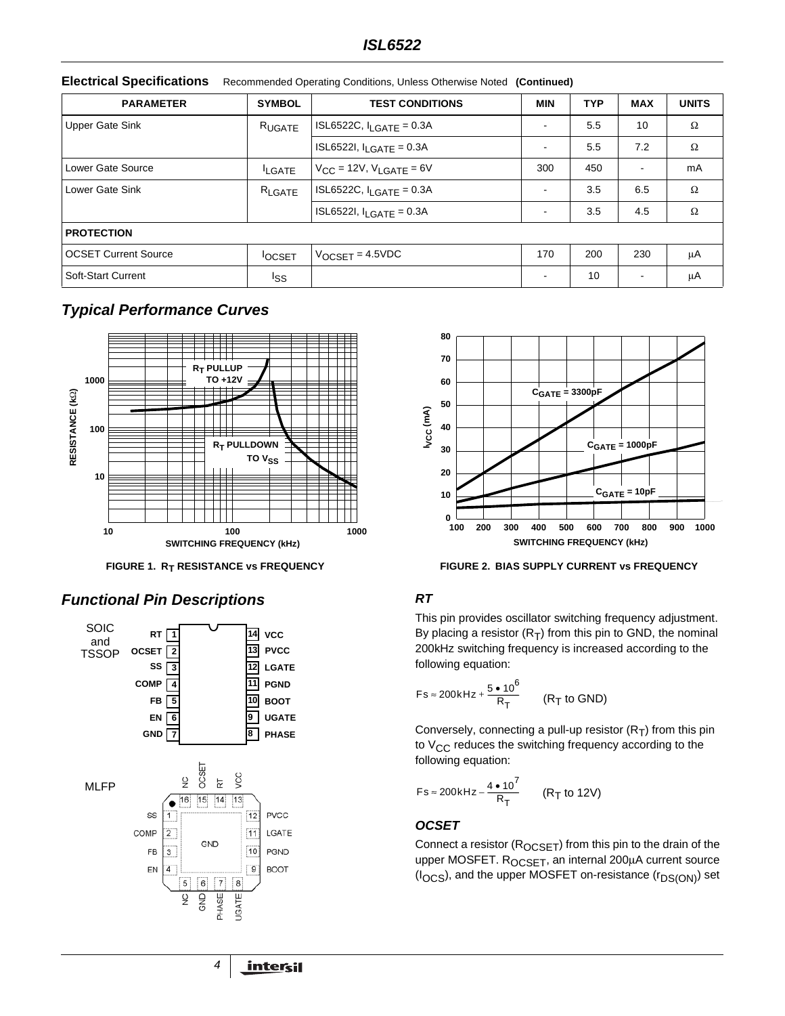| <b>PARAMETER</b>            | <b>SYMBOL</b> | <b>TEST CONDITIONS</b>                  | <b>MIN</b>               | <b>TYP</b> | <b>MAX</b>               | <b>UNITS</b> |
|-----------------------------|---------------|-----------------------------------------|--------------------------|------------|--------------------------|--------------|
| <b>Upper Gate Sink</b>      | RUGATE        | ISL6522C, $I_{LGATE} = 0.3A$            | $\overline{\phantom{a}}$ | 5.5        | 10                       | $\Omega$     |
|                             |               | ISL6522I, $I_{LGATE} = 0.3A$            | $\overline{\phantom{a}}$ | 5.5        | 7.2                      | $\Omega$     |
| Lower Gate Source           | <b>LGATE</b>  | $V_{CC}$ = 12V, V <sub>LGATE</sub> = 6V | 300                      | 450        | $\overline{\phantom{a}}$ | mA           |
| Lower Gate Sink             | RLGATE        | $ISL6522C, II GATF = 0.3A$              | $\overline{\phantom{a}}$ | 3.5        | 6.5                      | $\Omega$     |
|                             |               | ISL6522I, $I_{LGATE} = 0.3A$            | $\overline{\phantom{a}}$ | 3.5        | 4.5                      | $\Omega$     |
| <b>PROTECTION</b>           |               |                                         |                          |            |                          |              |
| <b>OCSET Current Source</b> | <b>OCSET</b>  | $V_{OCSFT} = 4.5 VDC$                   | 170                      | 200        | 230                      | μA           |
| <b>Soft-Start Current</b>   | Iss           |                                         | $\overline{\phantom{a}}$ | 10         | $\overline{\phantom{a}}$ | μA           |

**Electrical Specifications** Recommended Operating Conditions, Unless Otherwise Noted **(Continued)**

# *Typical Performance Curves*



# *Functional Pin Descriptions RT*





FIGURE 1. R<sub>T</sub> RESISTANCE vs FREQUENCY **FIGURE 2. BIAS SUPPLY CURRENT vs FREQUENCY** 

This pin provides oscillator switching frequency adjustment. By placing a resistor  $(R_T)$  from this pin to GND, the nominal 200kHz switching frequency is increased according to the following equation:

$$
Fs \approx 200 \text{kHz} + \frac{5 \cdot 10^6}{R_T} \qquad (R_T \text{ to GND})
$$

Conversely, connecting a pull-up resistor  $(R_T)$  from this pin to  $V_{CC}$  reduces the switching frequency according to the following equation:

$$
Fs \approx 200kHz - \frac{4 \cdot 10^7}{R_T}
$$
 (R<sub>T</sub> to 12V)

### *OCSET*

Connect a resistor  $(R_{OCSET})$  from this pin to the drain of the upper MOSFET. R<sub>OCSET</sub>, an internal 200µA current source (I<sub>OCS</sub>), and the upper MOSFET on-resistance (r<sub>DS(ON)</sub>) set

*4*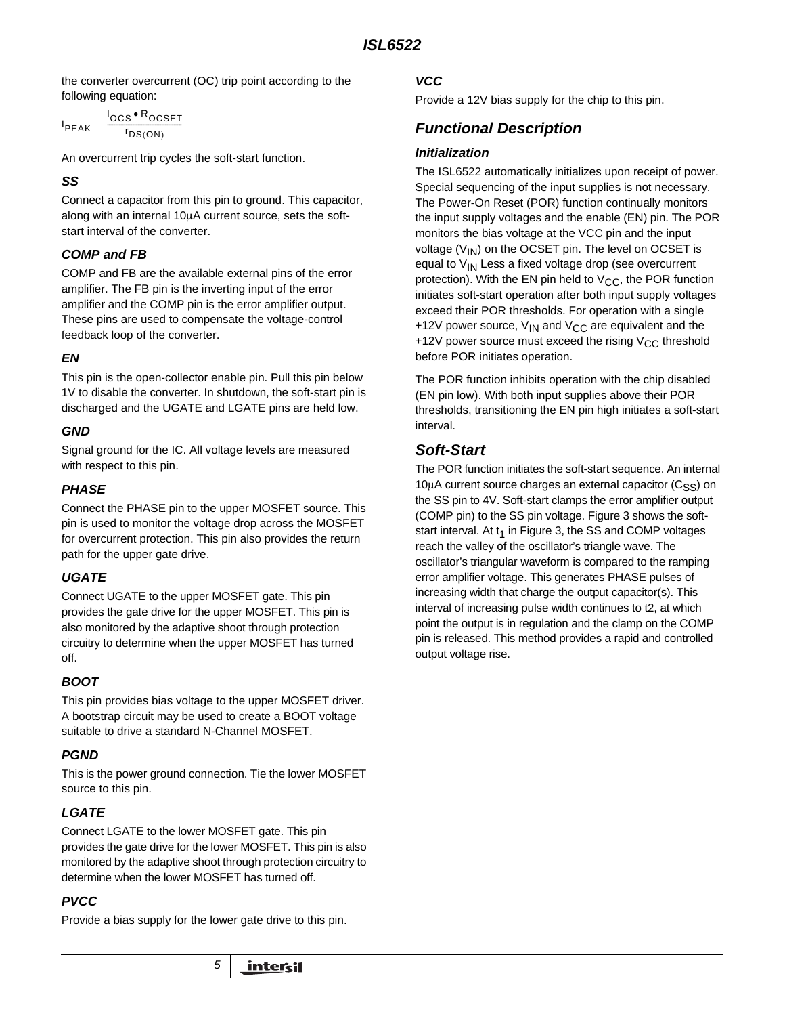the converter overcurrent (OC) trip point according to the following equation:

$$
I_{PEAK} = \frac{I_{OCS} \cdot R_{OCSET}}{r_{DS(ON)}}
$$

An overcurrent trip cycles the soft-start function.

## *SS*

Connect a capacitor from this pin to ground. This capacitor, along with an internal 10µA current source, sets the softstart interval of the converter.

## *COMP and FB*

COMP and FB are the available external pins of the error amplifier. The FB pin is the inverting input of the error amplifier and the COMP pin is the error amplifier output. These pins are used to compensate the voltage-control feedback loop of the converter.

# *EN*

This pin is the open-collector enable pin. Pull this pin below 1V to disable the converter. In shutdown, the soft-start pin is discharged and the UGATE and LGATE pins are held low.

## *GND*

Signal ground for the IC. All voltage levels are measured with respect to this pin.

# *PHASE*

Connect the PHASE pin to the upper MOSFET source. This pin is used to monitor the voltage drop across the MOSFET for overcurrent protection. This pin also provides the return path for the upper gate drive.

# *UGATE*

Connect UGATE to the upper MOSFET gate. This pin provides the gate drive for the upper MOSFET. This pin is also monitored by the adaptive shoot through protection circuitry to determine when the upper MOSFET has turned off.

# *BOOT*

This pin provides bias voltage to the upper MOSFET driver. A bootstrap circuit may be used to create a BOOT voltage suitable to drive a standard N-Channel MOSFET.

# *PGND*

This is the power ground connection. Tie the lower MOSFET source to this pin.

# *LGATE*

Connect LGATE to the lower MOSFET gate. This pin provides the gate drive for the lower MOSFET. This pin is also monitored by the adaptive shoot through protection circuitry to determine when the lower MOSFET has turned off.

# *PVCC*

Provide a bias supply for the lower gate drive to this pin.

*5*

## *VCC*

Provide a 12V bias supply for the chip to this pin.

# *Functional Description*

### *Initialization*

The ISL6522 automatically initializes upon receipt of power. Special sequencing of the input supplies is not necessary. The Power-On Reset (POR) function continually monitors the input supply voltages and the enable (EN) pin. The POR monitors the bias voltage at the VCC pin and the input voltage  $(V_{IN})$  on the OCSET pin. The level on OCSET is equal to  $V_{IN}$  Less a fixed voltage drop (see overcurrent protection). With the EN pin held to  $V_{CC}$ , the POR function initiates soft-start operation after both input supply voltages exceed their POR thresholds. For operation with a single +12V power source,  $V_{IN}$  and  $V_{CC}$  are equivalent and the +12V power source must exceed the rising  $V_{CC}$  threshold before POR initiates operation.

The POR function inhibits operation with the chip disabled (EN pin low). With both input supplies above their POR thresholds, transitioning the EN pin high initiates a soft-start interval.

# *Soft-Start*

The POR function initiates the soft-start sequence. An internal  $10\mu$ A current source charges an external capacitor (C<sub>SS</sub>) on the SS pin to 4V. Soft-start clamps the error amplifier output (COMP pin) to the SS pin voltage. Figure [3](#page-5-0) shows the softstart interval. At  $t_1$  in Figure [3,](#page-5-0) the SS and COMP voltages reach the valley of the oscillator's triangle wave. The oscillator's triangular waveform is compared to the ramping error amplifier voltage. This generates PHASE pulses of increasing width that charge the output capacitor(s). This interval of increasing pulse width continues to t2, at which point the output is in regulation and the clamp on the COMP pin is released. This method provides a rapid and controlled output voltage rise.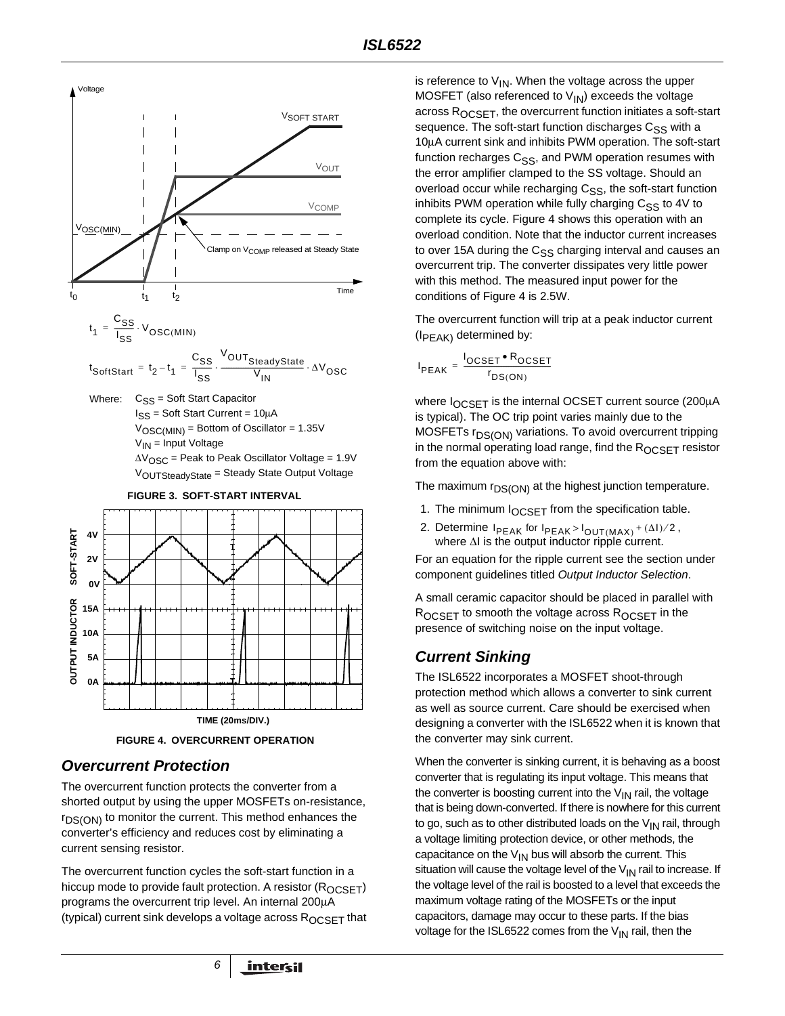

<span id="page-5-0"></span>

**FIGURE 4. OVERCURRENT OPERATION**

# <span id="page-5-1"></span>*Overcurrent Protection*

The overcurrent function protects the converter from a shorted output by using the upper MOSFETs on-resistance,  $r_{DS(ON)}$  to monitor the current. This method enhances the converter's efficiency and reduces cost by eliminating a current sensing resistor.

The overcurrent function cycles the soft-start function in a hiccup mode to provide fault protection. A resistor  $(R_{OCSET})$ programs the overcurrent trip level. An internal 200µA (typical) current sink develops a voltage across ROCSET that is reference to  $V_{1N}$ . When the voltage across the upper MOSFET (also referenced to  $V_{\text{IN}}$ ) exceeds the voltage across R<sub>OCSET</sub>, the overcurrent function initiates a soft-start sequence. The soft-start function discharges C<sub>SS</sub> with a 10µA current sink and inhibits PWM operation. The soft-start function recharges C<sub>SS</sub>, and PWM operation resumes with the error amplifier clamped to the SS voltage. Should an overload occur while recharging C<sub>SS</sub>, the soft-start function inhibits PWM operation while fully charging  $C_{SS}$  to 4V to complete its cycle. Figure [4](#page-5-1) shows this operation with an overload condition. Note that the inductor current increases to over 15A during the  $C_{SS}$  charging interval and causes an overcurrent trip. The converter dissipates very little power with this method. The measured input power for the conditions of Figure [4](#page-5-1) is 2.5W.

The overcurrent function will trip at a peak inductor current  $(I_{PEAK})$  determined by:

$$
I_{PEAK} = \frac{I_{OCSET} \cdot R_{OCSET}}{r_{DS(ON)}}
$$

where  $I_{OCSFT}$  is the internal OCSET current source (200 $\mu$ A is typical). The OC trip point varies mainly due to the MOSFETs r<sub>DS(ON)</sub> variations. To avoid overcurrent tripping in the normal operating load range, find the  $R_{OCSET}$  resistor from the equation above with:

The maximum  $r_{DS(ON)}$  at the highest junction temperature.

- 1. The minimum  $I_{OCSET}$  from the specification table.
- 2. Determine  $I_{PEAK}$  for  $I_{PEAK} > I_{OUT(MAX)} + (\Delta I)/2$ , where ∆I is the output inductor ripple current.

For an equation for the ripple current see the section under component guidelines titled *Output Inductor Selection*.

A small ceramic capacitor should be placed in parallel with  $R_{OCSFT}$  to smooth the voltage across  $R_{OCSFT}$  in the presence of switching noise on the input voltage.

# *Current Sinking*

The ISL6522 incorporates a MOSFET shoot-through protection method which allows a converter to sink current as well as source current. Care should be exercised when designing a converter with the ISL6522 when it is known that the converter may sink current.

When the converter is sinking current, it is behaving as a boost converter that is regulating its input voltage. This means that the converter is boosting current into the  $V_{IN}$  rail, the voltage that is being down-converted. If there is nowhere for this current to go, such as to other distributed loads on the  $V_{IN}$  rail, through a voltage limiting protection device, or other methods, the capacitance on the  $V_{IN}$  bus will absorb the current. This situation will cause the voltage level of the  $V_{IN}$  rail to increase. If the voltage level of the rail is boosted to a level that exceeds the maximum voltage rating of the MOSFETs or the input capacitors, damage may occur to these parts. If the bias voltage for the ISL6522 comes from the  $V_{IN}$  rail, then the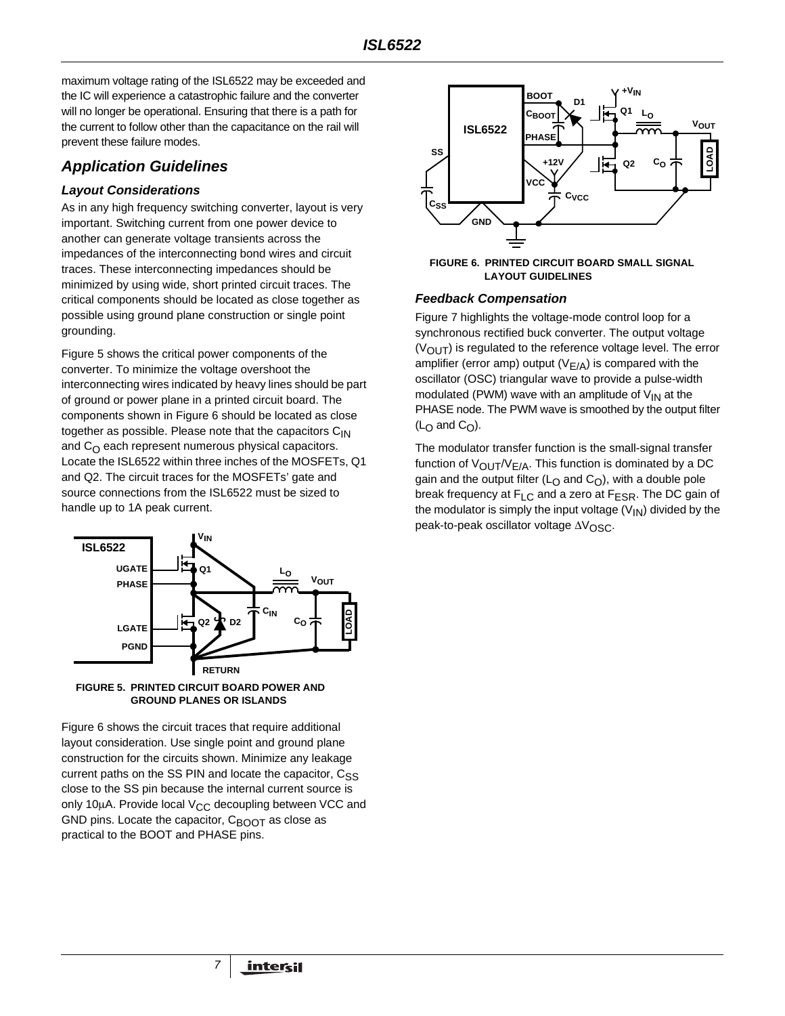maximum voltage rating of the ISL6522 may be exceeded and the IC will experience a catastrophic failure and the converter will no longer be operational. Ensuring that there is a path for the current to follow other than the capacitance on the rail will prevent these failure modes.

## *Application Guidelines*

#### *Layout Considerations*

As in any high frequency switching converter, layout is very important. Switching current from one power device to another can generate voltage transients across the impedances of the interconnecting bond wires and circuit traces. These interconnecting impedances should be minimized by using wide, short printed circuit traces. The critical components should be located as close together as possible using ground plane construction or single point grounding.

Figure [5](#page-6-0) shows the critical power components of the converter. To minimize the voltage overshoot the interconnecting wires indicated by heavy lines should be part of ground or power plane in a printed circuit board. The components shown in Figure 6 should be located as close together as possible. Please note that the capacitors  $C_{1N}$ and  $C_{\Omega}$  each represent numerous physical capacitors. Locate the ISL6522 within three inches of the MOSFETs, Q1 and Q2. The circuit traces for the MOSFETs' gate and source connections from the ISL6522 must be sized to handle up to 1A peak current.



<span id="page-6-0"></span>

Figure 6 shows the circuit traces that require additional layout consideration. Use single point and ground plane construction for the circuits shown. Minimize any leakage current paths on the SS PIN and locate the capacitor,  $C_{\leq S}$ close to the SS pin because the internal current source is only 10 $\mu$ A. Provide local V<sub>CC</sub> decoupling between VCC and GND pins. Locate the capacitor,  $C_{\text{BOOT}}$  as close as practical to the BOOT and PHASE pins.

*7*



**FIGURE 6. PRINTED CIRCUIT BOARD SMALL SIGNAL LAYOUT GUIDELINES**

#### *Feedback Compensation*

Figure 7 highlights the voltage-mode control loop for a synchronous rectified buck converter. The output voltage  $(V<sub>OUT</sub>)$  is regulated to the reference voltage level. The error amplifier (error amp) output ( $V_{E/A}$ ) is compared with the oscillator (OSC) triangular wave to provide a pulse-width modulated (PWM) wave with an amplitude of  $V_{IN}$  at the PHASE node. The PWM wave is smoothed by the output filter  $(L<sub>O</sub>$  and  $C<sub>O</sub>)$ .

The modulator transfer function is the small-signal transfer function of  $V_{\text{OUT}}/V_{E/A}$ . This function is dominated by a DC gain and the output filter ( $L<sub>O</sub>$  and  $C<sub>O</sub>$ ), with a double pole break frequency at  $F_{LC}$  and a zero at  $F_{ESR}$ . The DC gain of the modulator is simply the input voltage  $(V_{\text{IN}})$  divided by the peak-to-peak oscillator voltage ∆V<sub>OSC</sub>.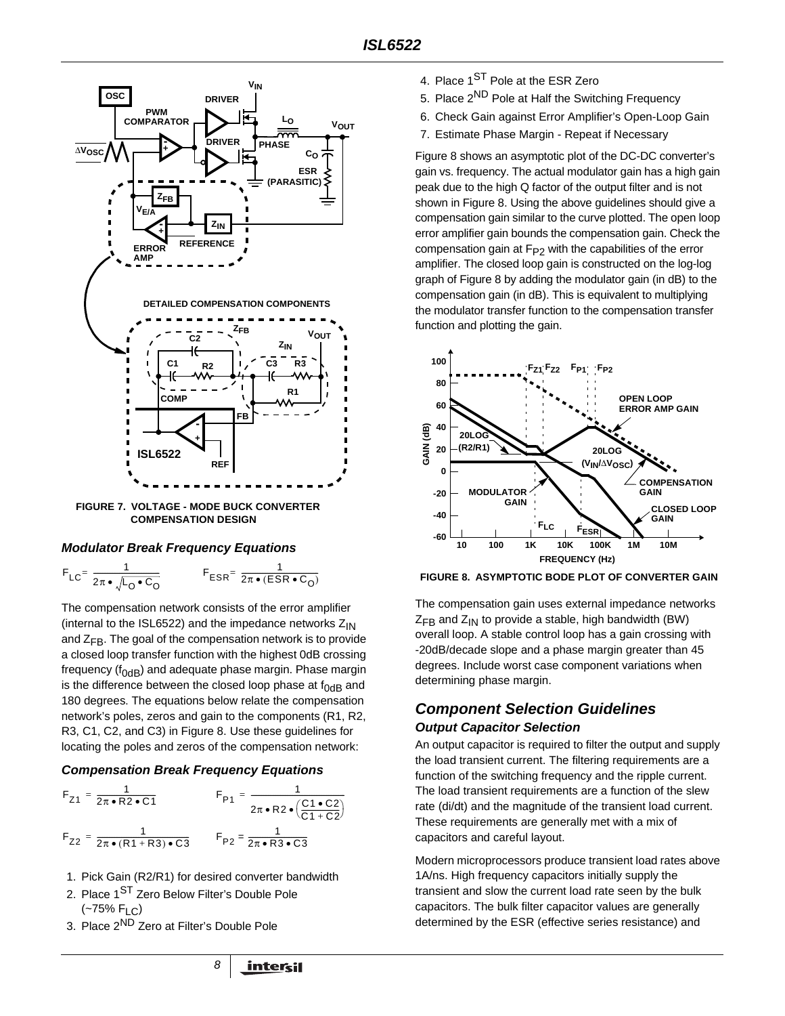

**COMPENSATION DESIGN**

#### *Modulator Break Frequency Equations*

$$
F_{LC} = \frac{1}{2\pi \cdot \sqrt{L_0 \cdot C_0}}
$$
 
$$
F_{ESR} = \frac{1}{2\pi \cdot (ESR \cdot C_0)}
$$

The compensation network consists of the error amplifier (internal to the ISL6522) and the impedance networks  $Z_{IN}$ and  $Z_{FB}$ . The goal of the compensation network is to provide a closed loop transfer function with the highest 0dB crossing frequency ( $f_{OdB}$ ) and adequate phase margin. Phase margin is the difference between the closed loop phase at  $f_{0dB}$  and 180 degrees. The equations below relate the compensation network's poles, zeros and gain to the components (R1, R2, R3, C1, C2, and C3) in Figure [8](#page-7-0). Use these guidelines for locating the poles and zeros of the compensation network:

#### *Compensation Break Frequency Equations*

$$
F_{Z1} = \frac{1}{2\pi \cdot R2 \cdot C1}
$$
  
\n
$$
F_{P1} = \frac{1}{2\pi \cdot R2 \cdot (\frac{C1 \cdot C2}{C1 + C2})}
$$
  
\n
$$
F_{Z2} = \frac{1}{2\pi \cdot (R1 + R3) \cdot C3}
$$
  
\n
$$
F_{P2} = \frac{1}{2\pi \cdot R3 \cdot C3}
$$

- 1. Pick Gain (R2/R1) for desired converter bandwidth
- 2. Place 1<sup>ST</sup> Zero Below Filter's Double Pole (~75% FLC)
- 3. Place 2ND Zero at Filter's Double Pole
- 4. Place 1<sup>ST</sup> Pole at the ESR Zero
- 5. Place 2<sup>ND</sup> Pole at Half the Switching Frequency
- 6. Check Gain against Error Amplifier's Open-Loop Gain
- 7. Estimate Phase Margin Repeat if Necessary

Figure [8](#page-7-0) shows an asymptotic plot of the DC-DC converter's gain vs. frequency. The actual modulator gain has a high gain peak due to the high Q factor of the output filter and is not shown in Figure [8](#page-7-0). Using the above guidelines should give a compensation gain similar to the curve plotted. The open loop error amplifier gain bounds the compensation gain. Check the compensation gain at  $F_{P2}$  with the capabilities of the error amplifier. The closed loop gain is constructed on the log-log graph of Figure [8](#page-7-0) by adding the modulator gain (in dB) to the compensation gain (in dB). This is equivalent to multiplying the modulator transfer function to the compensation transfer function and plotting the gain.



<span id="page-7-0"></span>**FIGURE 8. ASYMPTOTIC BODE PLOT OF CONVERTER GAIN**

The compensation gain uses external impedance networks  $Z_{\text{FR}}$  and  $Z_{\text{IN}}$  to provide a stable, high bandwidth (BW) overall loop. A stable control loop has a gain crossing with -20dB/decade slope and a phase margin greater than 45 degrees. Include worst case component variations when determining phase margin.

# *Component Selection Guidelines Output Capacitor Selection*

An output capacitor is required to filter the output and supply the load transient current. The filtering requirements are a function of the switching frequency and the ripple current. The load transient requirements are a function of the slew rate (di/dt) and the magnitude of the transient load current. These requirements are generally met with a mix of capacitors and careful layout.

Modern microprocessors produce transient load rates above 1A/ns. High frequency capacitors initially supply the transient and slow the current load rate seen by the bulk capacitors. The bulk filter capacitor values are generally determined by the ESR (effective series resistance) and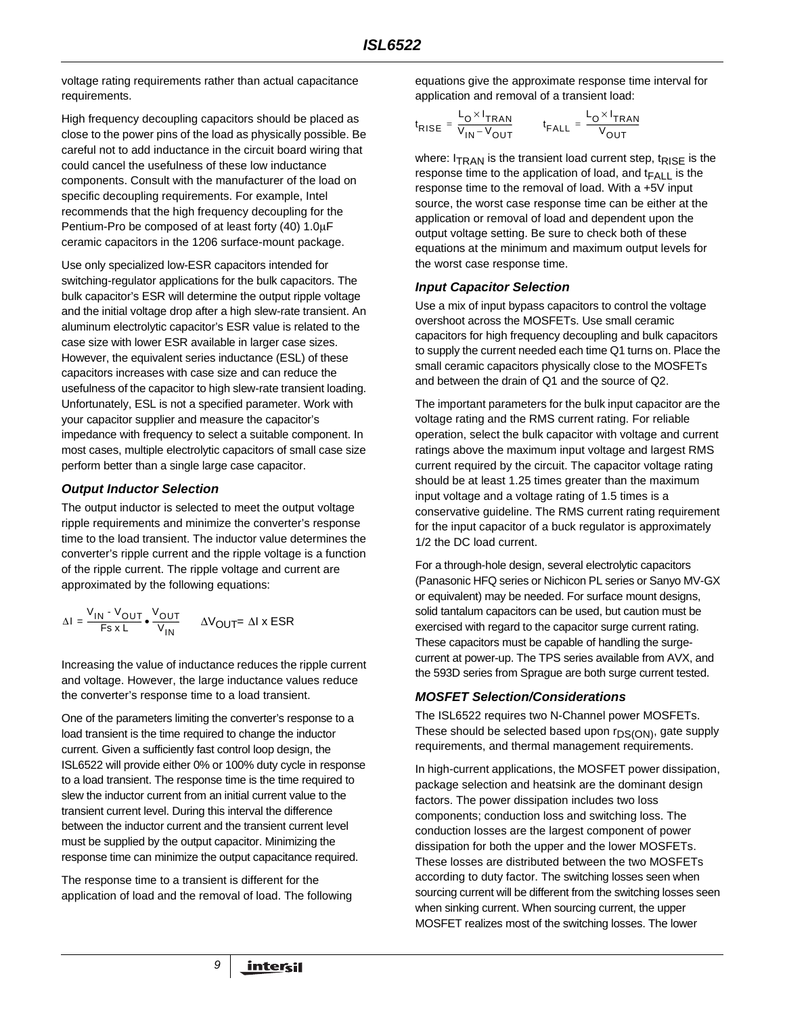voltage rating requirements rather than actual capacitance requirements.

High frequency decoupling capacitors should be placed as close to the power pins of the load as physically possible. Be careful not to add inductance in the circuit board wiring that could cancel the usefulness of these low inductance components. Consult with the manufacturer of the load on specific decoupling requirements. For example, Intel recommends that the high frequency decoupling for the Pentium-Pro be composed of at least forty (40) 1.0µF ceramic capacitors in the 1206 surface-mount package.

Use only specialized low-ESR capacitors intended for switching-regulator applications for the bulk capacitors. The bulk capacitor's ESR will determine the output ripple voltage and the initial voltage drop after a high slew-rate transient. An aluminum electrolytic capacitor's ESR value is related to the case size with lower ESR available in larger case sizes. However, the equivalent series inductance (ESL) of these capacitors increases with case size and can reduce the usefulness of the capacitor to high slew-rate transient loading. Unfortunately, ESL is not a specified parameter. Work with your capacitor supplier and measure the capacitor's impedance with frequency to select a suitable component. In most cases, multiple electrolytic capacitors of small case size perform better than a single large case capacitor.

#### *Output Inductor Selection*

The output inductor is selected to meet the output voltage ripple requirements and minimize the converter's response time to the load transient. The inductor value determines the converter's ripple current and the ripple voltage is a function of the ripple current. The ripple voltage and current are approximated by the following equations:

$$
\Delta I = \frac{V_{IN} - V_{OUT}}{Fs \times L} \cdot \frac{V_{OUT}}{V_{IN}} \qquad \Delta V_{OUT} = \Delta I \times ESR
$$

Increasing the value of inductance reduces the ripple current and voltage. However, the large inductance values reduce the converter's response time to a load transient.

One of the parameters limiting the converter's response to a load transient is the time required to change the inductor current. Given a sufficiently fast control loop design, the ISL6522 will provide either 0% or 100% duty cycle in response to a load transient. The response time is the time required to slew the inductor current from an initial current value to the transient current level. During this interval the difference between the inductor current and the transient current level must be supplied by the output capacitor. Minimizing the response time can minimize the output capacitance required.

The response time to a transient is different for the application of load and the removal of load. The following equations give the approximate response time interval for application and removal of a transient load:

$$
t_{\text{RISE}} = \frac{L_{\text{O}} \times I_{\text{TRAN}}}{V_{\text{IN}} - V_{\text{OUT}}}
$$
 
$$
t_{\text{FALL}} = \frac{L_{\text{O}} \times I_{\text{TRAN}}}{V_{\text{OUT}}}
$$

where:  $I_{TRAN}$  is the transient load current step, t<sub>RISF</sub> is the response time to the application of load, and  $t_{FA+1}$  is the response time to the removal of load. With a +5V input source, the worst case response time can be either at the application or removal of load and dependent upon the output voltage setting. Be sure to check both of these equations at the minimum and maximum output levels for the worst case response time.

#### *Input Capacitor Selection*

Use a mix of input bypass capacitors to control the voltage overshoot across the MOSFETs. Use small ceramic capacitors for high frequency decoupling and bulk capacitors to supply the current needed each time Q1 turns on. Place the small ceramic capacitors physically close to the MOSFETs and between the drain of Q1 and the source of Q2.

The important parameters for the bulk input capacitor are the voltage rating and the RMS current rating. For reliable operation, select the bulk capacitor with voltage and current ratings above the maximum input voltage and largest RMS current required by the circuit. The capacitor voltage rating should be at least 1.25 times greater than the maximum input voltage and a voltage rating of 1.5 times is a conservative guideline. The RMS current rating requirement for the input capacitor of a buck regulator is approximately 1/2 the DC load current.

For a through-hole design, several electrolytic capacitors (Panasonic HFQ series or Nichicon PL series or Sanyo MV-GX or equivalent) may be needed. For surface mount designs, solid tantalum capacitors can be used, but caution must be exercised with regard to the capacitor surge current rating. These capacitors must be capable of handling the surgecurrent at power-up. The TPS series available from AVX, and the 593D series from Sprague are both surge current tested.

#### *MOSFET Selection/Considerations*

The ISL6522 requires two N-Channel power MOSFETs. These should be selected based upon  $r_{DS(ON)}$ , gate supply requirements, and thermal management requirements.

In high-current applications, the MOSFET power dissipation, package selection and heatsink are the dominant design factors. The power dissipation includes two loss components; conduction loss and switching loss. The conduction losses are the largest component of power dissipation for both the upper and the lower MOSFETs. These losses are distributed between the two MOSFETs according to duty factor. The switching losses seen when sourcing current will be different from the switching losses seen when sinking current. When sourcing current, the upper MOSFET realizes most of the switching losses. The lower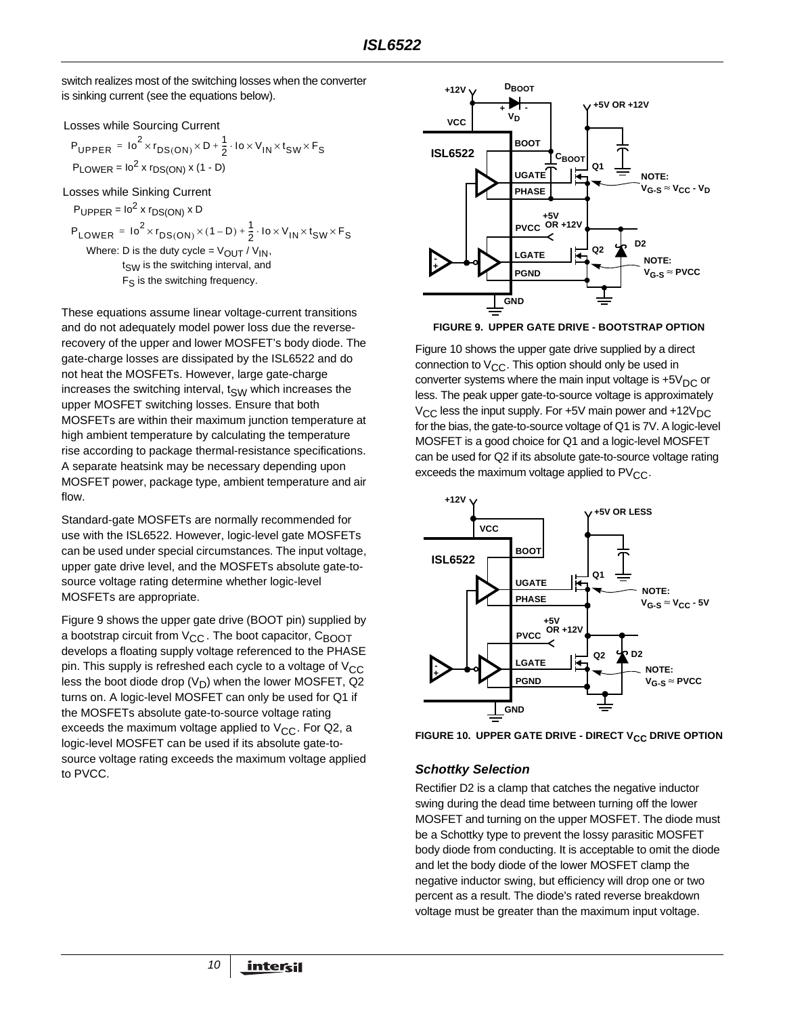switch realizes most of the switching losses when the converter is sinking current (see the equations below).

Losses while Sourcing Current

$$
P_{\text{UPPER}} = 10^{2} \times r_{\text{DS}(\text{ON})} \times D + \frac{1}{2} \cdot 10 \times V_{\text{IN}} \times t_{\text{SW}} \times F_{\text{S}}
$$
  
 
$$
P_{\text{LOWER}} = 10^{2} \times r_{\text{DS}(\text{ON})} \times (1 - D)
$$

Losses while Sinking Current

$$
P_{\text{UPPER}} = 10^{2} \times r_{\text{DS}(\text{ON})} \times \text{D}
$$
\n
$$
P_{\text{LOWER}} = 10^{2} \times r_{\text{DS}(\text{ON})} \times (1 - \text{D}) + \frac{1}{2} \cdot 10 \times V_{\text{IN}} \times t_{\text{SW}} \times F_{\text{S}}
$$
\nWhere: D is the duty cycle = V<sub>OUT</sub> / V<sub>IN</sub>,  
\nt<sub>SW</sub> is the switching interval, and  
\n
$$
F_{\text{S}} \text{ is the switching frequency.}
$$

These equations assume linear voltage-current transitions and do not adequately model power loss due the reverserecovery of the upper and lower MOSFET's body diode. The gate-charge losses are dissipated by the ISL6522 and do not heat the MOSFETs. However, large gate-charge increases the switching interval,  $t_{SW}$  which increases the upper MOSFET switching losses. Ensure that both MOSFETs are within their maximum junction temperature at high ambient temperature by calculating the temperature rise according to package thermal-resistance specifications. A separate heatsink may be necessary depending upon MOSFET power, package type, ambient temperature and air flow.

Standard-gate MOSFETs are normally recommended for use with the ISL6522. However, logic-level gate MOSFETs can be used under special circumstances. The input voltage, upper gate drive level, and the MOSFETs absolute gate-tosource voltage rating determine whether logic-level MOSFETs are appropriate.

Figure [9](#page-9-0) shows the upper gate drive (BOOT pin) supplied by a bootstrap circuit from  $V_{CC}$ . The boot capacitor,  $C_{B O O T}$ develops a floating supply voltage referenced to the PHASE pin. This supply is refreshed each cycle to a voltage of  $V_{CC}$ less the boot diode drop  $(V_D)$  when the lower MOSFET, Q2 turns on. A logic-level MOSFET can only be used for Q1 if the MOSFETs absolute gate-to-source voltage rating exceeds the maximum voltage applied to  $V_{CC}$ . For Q2, a logic-level MOSFET can be used if its absolute gate-tosource voltage rating exceeds the maximum voltage applied to PVCC.



<span id="page-9-0"></span>**FIGURE 9. UPPER GATE DRIVE - BOOTSTRAP OPTION**

Figure [10](#page-9-1) shows the upper gate drive supplied by a direct connection to  $V_{CC}$ . This option should only be used in converter systems where the main input voltage is  $+5V_{DC}$  or less. The peak upper gate-to-source voltage is approximately  $V_{CC}$  less the input supply. For +5V main power and +12 $V_{DC}$ for the bias, the gate-to-source voltage of Q1 is 7V. A logic-level MOSFET is a good choice for Q1 and a logic-level MOSFET can be used for Q2 if its absolute gate-to-source voltage rating exceeds the maximum voltage applied to  $PV_{CC}$ .



<span id="page-9-1"></span>FIGURE 10. UPPER GATE DRIVE - DIRECT V<sub>CC</sub> DRIVE OPTION

#### *Schottky Selection*

Rectifier D2 is a clamp that catches the negative inductor swing during the dead time between turning off the lower MOSFET and turning on the upper MOSFET. The diode must be a Schottky type to prevent the lossy parasitic MOSFET body diode from conducting. It is acceptable to omit the diode and let the body diode of the lower MOSFET clamp the negative inductor swing, but efficiency will drop one or two percent as a result. The diode's rated reverse breakdown voltage must be greater than the maximum input voltage.

*10*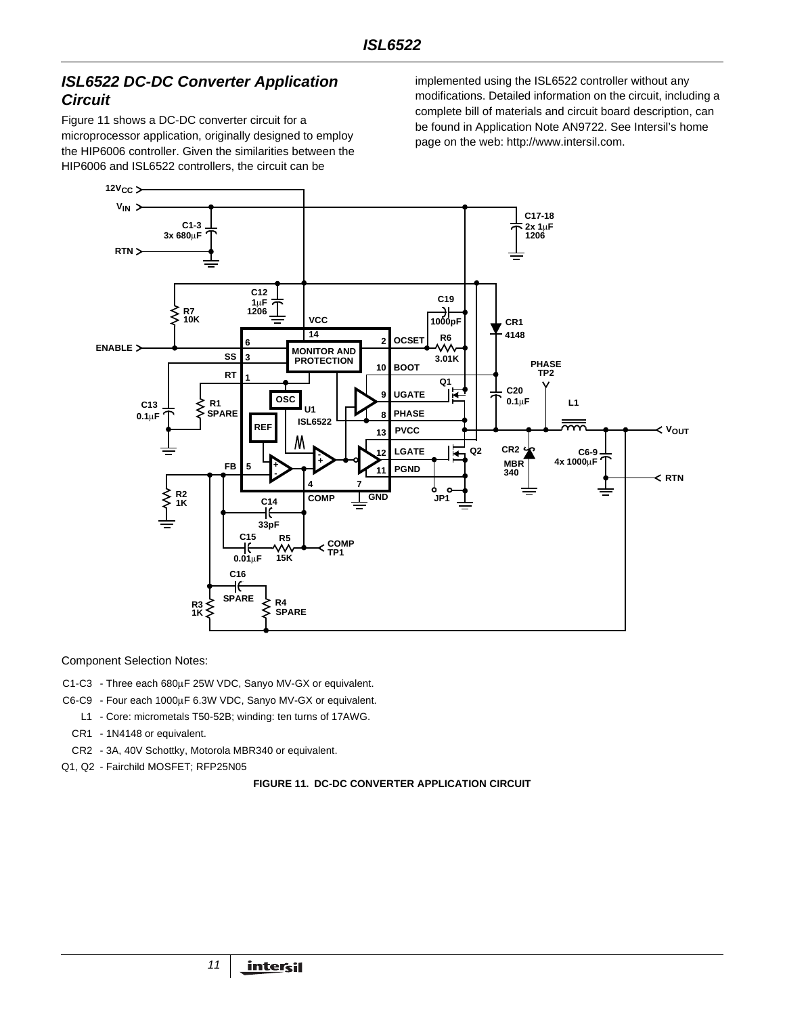# *ISL6522 DC-DC Converter Application Circuit*

Figure [11](#page-10-0) shows a DC-DC converter circuit for a microprocessor application, originally designed to employ the HIP6006 controller. Given the similarities between the HIP6006 and ISL6522 controllers, the circuit can be

implemented using the ISL6522 controller without any modifications. Detailed information on the circuit, including a complete bill of materials and circuit board description, can be found in Application Note AN9722. See Intersil's home page on the web: http://www.intersil.com.



Component Selection Notes:

- C1-C3 Three each 680µF 25W VDC, Sanyo MV-GX or equivalent.
- C6-C9 Four each 1000µF 6.3W VDC, Sanyo MV-GX or equivalent.
- L1 Core: micrometals T50-52B; winding: ten turns of 17AWG.
- CR1 1N4148 or equivalent.
- CR2 3A, 40V Schottky, Motorola MBR340 or equivalent.
- <span id="page-10-0"></span>Q1, Q2 - Fairchild MOSFET; RFP25N05

#### **FIGURE 11. DC-DC CONVERTER APPLICATION CIRCUIT**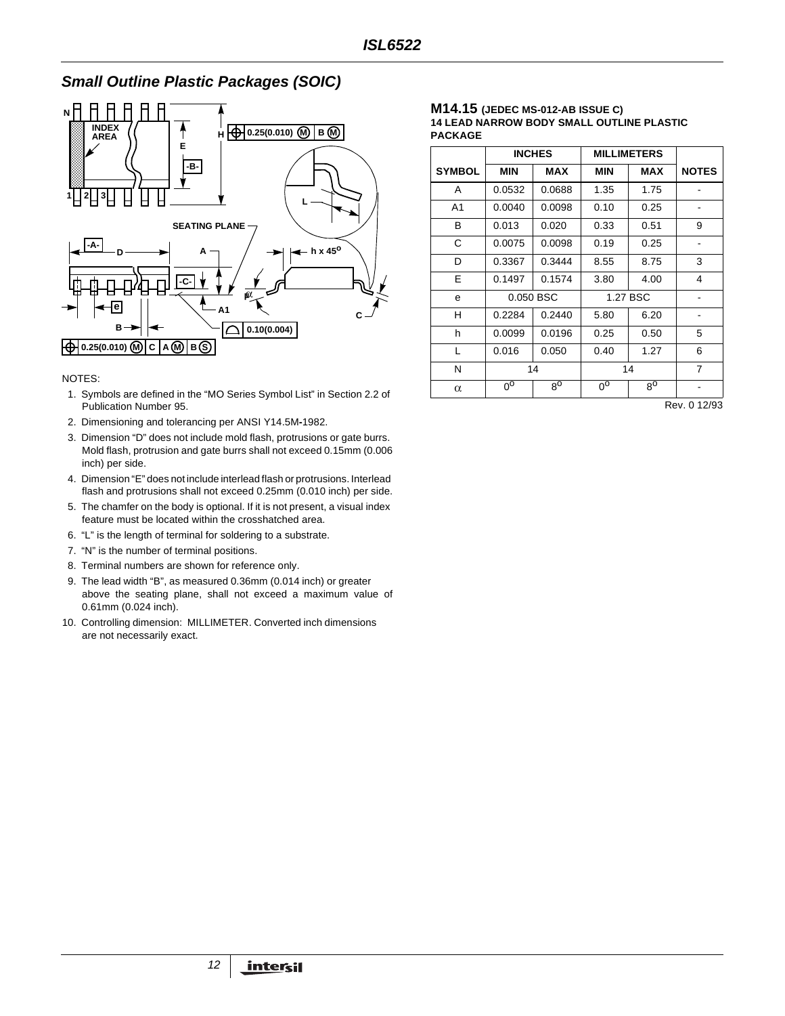# *Small Outline Plastic Packages (SOIC)*



#### NOTES:

- 1. Symbols are defined in the "MO Series Symbol List" in Section 2.2 of Publication Number 95.
- 2. Dimensioning and tolerancing per ANSI Y14.5M**-**1982.
- 3. Dimension "D" does not include mold flash, protrusions or gate burrs. Mold flash, protrusion and gate burrs shall not exceed 0.15mm (0.006 inch) per side.
- 4. Dimension "E" does not include interlead flash or protrusions. Interlead flash and protrusions shall not exceed 0.25mm (0.010 inch) per side.
- 5. The chamfer on the body is optional. If it is not present, a visual index feature must be located within the crosshatched area.
- 6. "L" is the length of terminal for soldering to a substrate.
- 7. "N" is the number of terminal positions.
- 8. Terminal numbers are shown for reference only.
- 9. The lead width "B", as measured 0.36mm (0.014 inch) or greater above the seating plane, shall not exceed a maximum value of 0.61mm (0.024 inch).
- 10. Controlling dimension: MILLIMETER. Converted inch dimensions are not necessarily exact.

#### **M14.15 (JEDEC MS-012-AB ISSUE C) 14 LEAD NARROW BODY SMALL OUTLINE PLASTIC PACKAGE**

|               | <b>INCHES</b>  |             | <b>MILLIMETERS</b> |             |                |
|---------------|----------------|-------------|--------------------|-------------|----------------|
| <b>SYMBOL</b> | <b>MIN</b>     | <b>MAX</b>  | <b>MIN</b>         | MAX         | <b>NOTES</b>   |
| A             | 0.0532         | 0.0688      | 1.35               | 1.75        |                |
| A1            | 0.0040         | 0.0098      | 0.10               | 0.25        |                |
| B             | 0.013          | 0.020       | 0.33               | 0.51        | 9              |
| C             | 0.0075         | 0.0098      | 0.19               | 0.25        |                |
| D             | 0.3367         | 0.3444      | 8.55               | 8.75        | 3              |
| E             | 0.1497         | 0.1574      | 3.80               | 4.00        | 4              |
| e             |                | 0.050 BSC   |                    | 1.27 BSC    |                |
| H             | 0.2284         | 0.2440      | 5.80               | 6.20        | -              |
| h             | 0.0099         | 0.0196      | 0.25               | 0.50        | 5              |
| $\mathbf{L}$  | 0.016          | 0.050       | 0.40               | 1.27        | 6              |
| N             |                | 14          |                    | 14          | $\overline{7}$ |
| $\alpha$      | $0^{\text{o}}$ | $8^{\circ}$ | $0^{\text{o}}$     | $8^{\circ}$ |                |

Rev. 0 12/93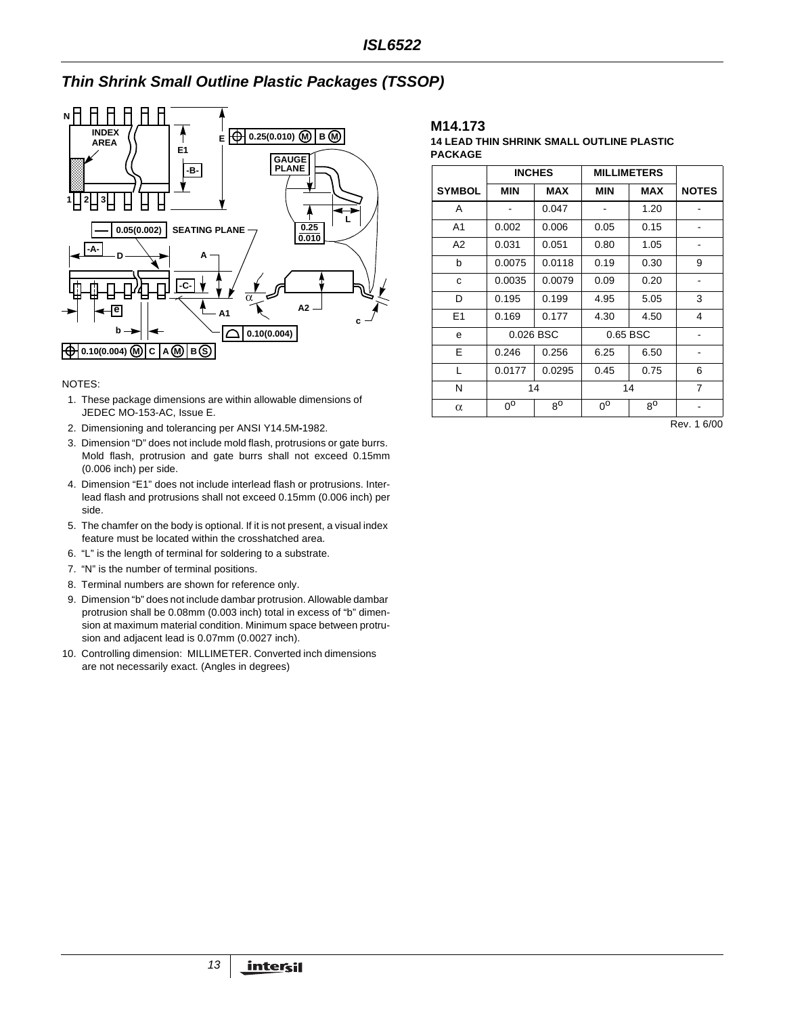# **Thin Shrink Small Outline Plastic Packages (TSSOP)**



#### NOTES:

- 1. These package dimensions are within allowable dimensions of JEDEC MO-153-AC, Issue E.
- 2. Dimensioning and tolerancing per ANSI Y14.5M**-**1982.
- 3. Dimension "D" does not include mold flash, protrusions or gate burrs. Mold flash, protrusion and gate burrs shall not exceed 0.15mm (0.006 inch) per side.
- 4. Dimension "E1" does not include interlead flash or protrusions. Interlead flash and protrusions shall not exceed 0.15mm (0.006 inch) per side.
- 5. The chamfer on the body is optional. If it is not present, a visual index feature must be located within the crosshatched area.
- 6. "L" is the length of terminal for soldering to a substrate.
- 7. "N" is the number of terminal positions.
- 8. Terminal numbers are shown for reference only.
- 9. Dimension "b" does not include dambar protrusion. Allowable dambar protrusion shall be 0.08mm (0.003 inch) total in excess of "b" dimension at maximum material condition. Minimum space between protrusion and adjacent lead is 0.07mm (0.0027 inch).
- 10. Controlling dimension: MILLIMETER. Converted inch dimensions are not necessarily exact. (Angles in degrees)

#### **M14.173**

#### **14 LEAD THIN SHRINK SMALL OUTLINE PLASTIC PACKAGE**

|                | <b>INCHES</b> |             |             | <b>MILLIMETERS</b> |                |
|----------------|---------------|-------------|-------------|--------------------|----------------|
| <b>SYMBOL</b>  | <b>MIN</b>    | <b>MAX</b>  | <b>MIN</b>  | <b>MAX</b>         | <b>NOTES</b>   |
| A              |               | 0.047       |             | 1.20               |                |
| A <sub>1</sub> | 0.002         | 0.006       | 0.05        | 0.15               |                |
| A <sub>2</sub> | 0.031         | 0.051       | 0.80        | 1.05               |                |
| b              | 0.0075        | 0.0118      | 0.19        | 0.30               | 9              |
| C              | 0.0035        | 0.0079      | 0.09        | 0.20               |                |
| D              | 0.195         | 0.199       | 4.95        | 5.05               | 3              |
| E1             | 0.169         | 0.177       | 4.30        | 4.50               | 4              |
| e              |               | 0.026 BSC   | 0.65 BSC    |                    |                |
| E              | 0.246         | 0.256       | 6.25        | 6.50               |                |
| L              | 0.0177        | 0.0295      | 0.45        | 0.75               | 6              |
| N              | 14            |             |             | 14                 | $\overline{7}$ |
| $\alpha$       | $0^{\circ}$   | $8^{\circ}$ | $0^{\circ}$ | $8^{\circ}$        |                |

Rev. 1 6/00